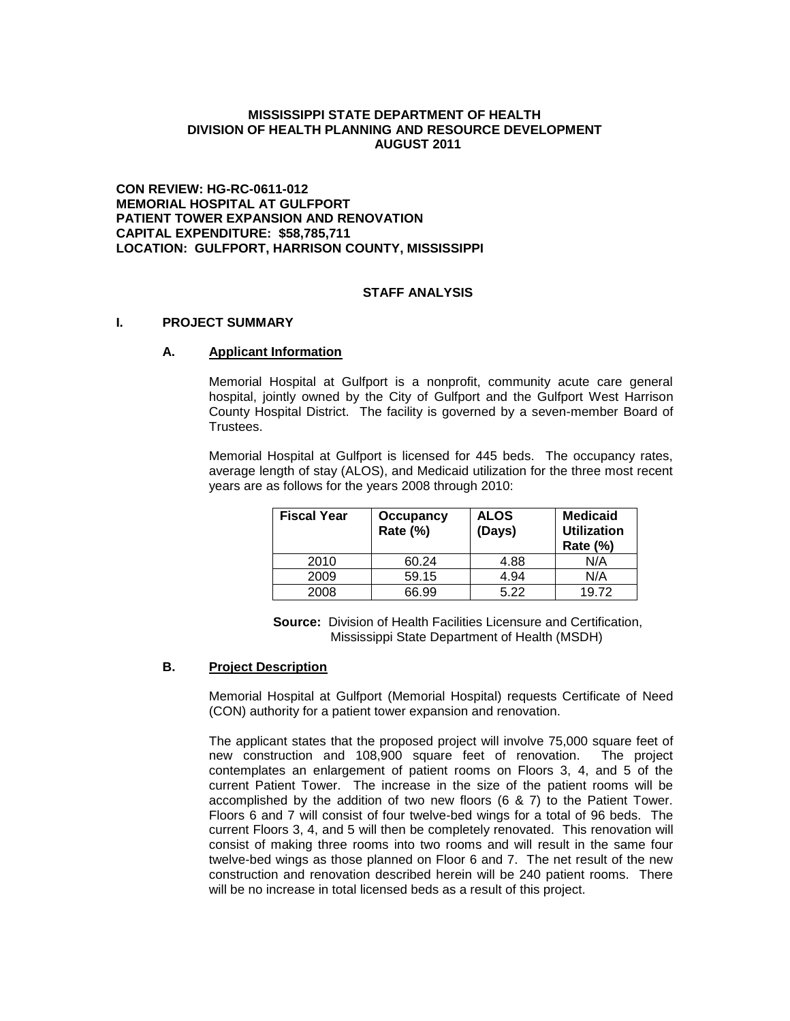#### **MISSISSIPPI STATE DEPARTMENT OF HEALTH DIVISION OF HEALTH PLANNING AND RESOURCE DEVELOPMENT AUGUST 2011**

**CON REVIEW: HG-RC-0611-012 MEMORIAL HOSPITAL AT GULFPORT PATIENT TOWER EXPANSION AND RENOVATION CAPITAL EXPENDITURE: \$58,785,711 LOCATION: GULFPORT, HARRISON COUNTY, MISSISSIPPI**

#### **STAFF ANALYSIS**

#### **I. PROJECT SUMMARY**

#### **A. Applicant Information**

Memorial Hospital at Gulfport is a nonprofit, community acute care general hospital, jointly owned by the City of Gulfport and the Gulfport West Harrison County Hospital District. The facility is governed by a seven-member Board of Trustees.

Memorial Hospital at Gulfport is licensed for 445 beds. The occupancy rates, average length of stay (ALOS), and Medicaid utilization for the three most recent years are as follows for the years 2008 through 2010:

| <b>Fiscal Year</b> | Occupancy<br>Rate (%) | <b>ALOS</b><br>(Days) | <b>Medicaid</b><br><b>Utilization</b><br><b>Rate (%)</b> |  |  |
|--------------------|-----------------------|-----------------------|----------------------------------------------------------|--|--|
| 2010               | 60.24                 | 4.88                  | N/A                                                      |  |  |
| 2009               | 59.15                 | 4.94                  | N/A                                                      |  |  |
| 2008               | 66.99                 | 5.22                  | 19.72                                                    |  |  |

 **Source:** Division of Health Facilities Licensure and Certification, Mississippi State Department of Health (MSDH)

## **B. Project Description**

Memorial Hospital at Gulfport (Memorial Hospital) requests Certificate of Need (CON) authority for a patient tower expansion and renovation.

The applicant states that the proposed project will involve 75,000 square feet of new construction and 108,900 square feet of renovation. The project contemplates an enlargement of patient rooms on Floors 3, 4, and 5 of the current Patient Tower. The increase in the size of the patient rooms will be accomplished by the addition of two new floors (6 & 7) to the Patient Tower. Floors 6 and 7 will consist of four twelve-bed wings for a total of 96 beds. The current Floors 3, 4, and 5 will then be completely renovated. This renovation will consist of making three rooms into two rooms and will result in the same four twelve-bed wings as those planned on Floor 6 and 7. The net result of the new construction and renovation described herein will be 240 patient rooms. There will be no increase in total licensed beds as a result of this project.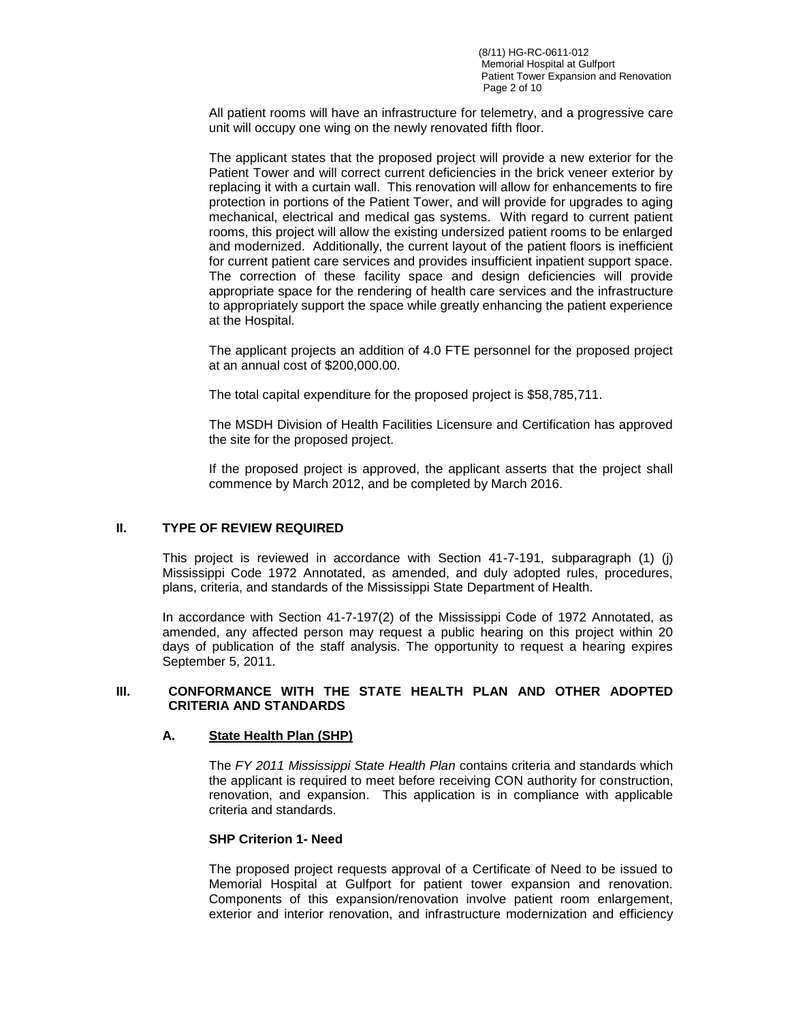(8/11) HG-RC-0611-012 Memorial Hospital at Gulfport Patient Tower Expansion and Renovation Page 2 of 10

All patient rooms will have an infrastructure for telemetry, and a progressive care unit will occupy one wing on the newly renovated fifth floor.

The applicant states that the proposed project will provide a new exterior for the Patient Tower and will correct current deficiencies in the brick veneer exterior by replacing it with a curtain wall. This renovation will allow for enhancements to fire protection in portions of the Patient Tower, and will provide for upgrades to aging mechanical, electrical and medical gas systems. With regard to current patient rooms, this project will allow the existing undersized patient rooms to be enlarged and modernized. Additionally, the current layout of the patient floors is inefficient for current patient care services and provides insufficient inpatient support space. The correction of these facility space and design deficiencies will provide appropriate space for the rendering of health care services and the infrastructure to appropriately support the space while greatly enhancing the patient experience at the Hospital.

The applicant projects an addition of 4.0 FTE personnel for the proposed project at an annual cost of \$200,000.00.

The total capital expenditure for the proposed project is \$58,785,711.

The MSDH Division of Health Facilities Licensure and Certification has approved the site for the proposed project.

If the proposed project is approved, the applicant asserts that the project shall commence by March 2012, and be completed by March 2016.

#### **II. TYPE OF REVIEW REQUIRED**

This project is reviewed in accordance with Section 41-7-191, subparagraph (1) (j) Mississippi Code 1972 Annotated, as amended, and duly adopted rules, procedures, plans, criteria, and standards of the Mississippi State Department of Health.

In accordance with Section 41-7-197(2) of the Mississippi Code of 1972 Annotated, as amended, any affected person may request a public hearing on this project within 20 days of publication of the staff analysis. The opportunity to request a hearing expires September 5, 2011.

#### **III. CONFORMANCE WITH THE STATE HEALTH PLAN AND OTHER ADOPTED CRITERIA AND STANDARDS**

#### **A. State Health Plan (SHP)**

The *FY 2011 Mississippi State Health Plan* contains criteria and standards which the applicant is required to meet before receiving CON authority for construction, renovation, and expansion. This application is in compliance with applicable criteria and standards.

#### **SHP Criterion 1- Need**

The proposed project requests approval of a Certificate of Need to be issued to Memorial Hospital at Gulfport for patient tower expansion and renovation. Components of this expansion/renovation involve patient room enlargement, exterior and interior renovation, and infrastructure modernization and efficiency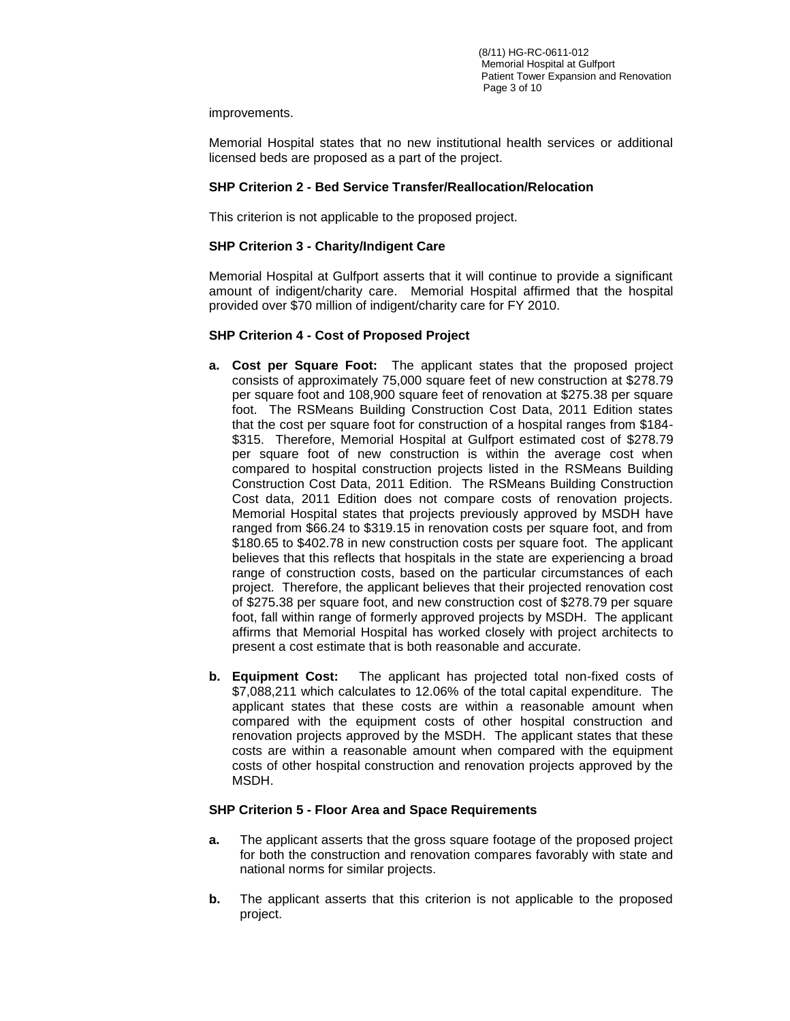improvements.

Memorial Hospital states that no new institutional health services or additional licensed beds are proposed as a part of the project.

## **SHP Criterion 2 - Bed Service Transfer/Reallocation/Relocation**

This criterion is not applicable to the proposed project.

# **SHP Criterion 3 - Charity/Indigent Care**

Memorial Hospital at Gulfport asserts that it will continue to provide a significant amount of indigent/charity care. Memorial Hospital affirmed that the hospital provided over \$70 million of indigent/charity care for FY 2010.

# **SHP Criterion 4 - Cost of Proposed Project**

- **a. Cost per Square Foot:** The applicant states that the proposed project consists of approximately 75,000 square feet of new construction at \$278.79 per square foot and 108,900 square feet of renovation at \$275.38 per square foot. The RSMeans Building Construction Cost Data, 2011 Edition states that the cost per square foot for construction of a hospital ranges from \$184- \$315. Therefore, Memorial Hospital at Gulfport estimated cost of \$278.79 per square foot of new construction is within the average cost when compared to hospital construction projects listed in the RSMeans Building Construction Cost Data, 2011 Edition. The RSMeans Building Construction Cost data, 2011 Edition does not compare costs of renovation projects. Memorial Hospital states that projects previously approved by MSDH have ranged from \$66.24 to \$319.15 in renovation costs per square foot, and from \$180.65 to \$402.78 in new construction costs per square foot. The applicant believes that this reflects that hospitals in the state are experiencing a broad range of construction costs, based on the particular circumstances of each project. Therefore, the applicant believes that their projected renovation cost of \$275.38 per square foot, and new construction cost of \$278.79 per square foot, fall within range of formerly approved projects by MSDH. The applicant affirms that Memorial Hospital has worked closely with project architects to present a cost estimate that is both reasonable and accurate.
- **b. Equipment Cost:** The applicant has projected total non-fixed costs of \$7,088,211 which calculates to 12.06% of the total capital expenditure. The applicant states that these costs are within a reasonable amount when compared with the equipment costs of other hospital construction and renovation projects approved by the MSDH. The applicant states that these costs are within a reasonable amount when compared with the equipment costs of other hospital construction and renovation projects approved by the MSDH.

## **SHP Criterion 5 - Floor Area and Space Requirements**

- **a.** The applicant asserts that the gross square footage of the proposed project for both the construction and renovation compares favorably with state and national norms for similar projects.
- **b.** The applicant asserts that this criterion is not applicable to the proposed project.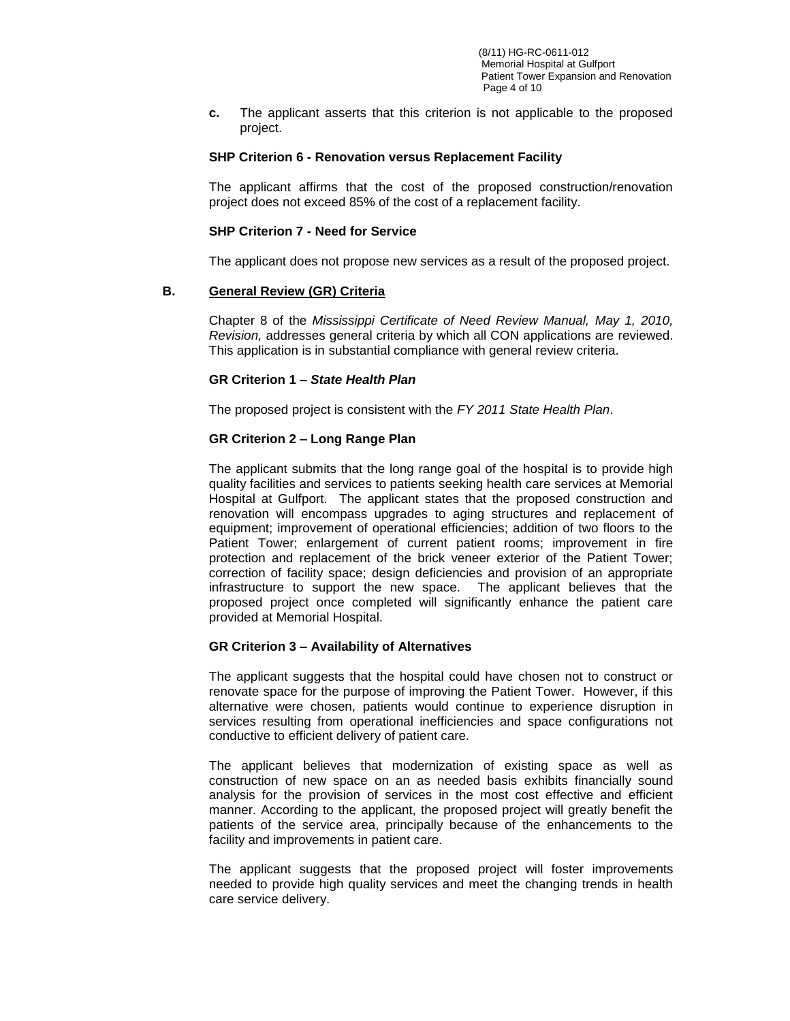**c.** The applicant asserts that this criterion is not applicable to the proposed project.

#### **SHP Criterion 6 - Renovation versus Replacement Facility**

The applicant affirms that the cost of the proposed construction/renovation project does not exceed 85% of the cost of a replacement facility.

#### **SHP Criterion 7 - Need for Service**

The applicant does not propose new services as a result of the proposed project.

#### **B. General Review (GR) Criteria**

Chapter 8 of the *Mississippi Certificate of Need Review Manual, May 1, 2010, Revision,* addresses general criteria by which all CON applications are reviewed. This application is in substantial compliance with general review criteria.

#### **GR Criterion 1 –** *State Health Plan*

The proposed project is consistent with the *FY 2011 State Health Plan*.

#### **GR Criterion 2 – Long Range Plan**

The applicant submits that the long range goal of the hospital is to provide high quality facilities and services to patients seeking health care services at Memorial Hospital at Gulfport. The applicant states that the proposed construction and renovation will encompass upgrades to aging structures and replacement of equipment; improvement of operational efficiencies; addition of two floors to the Patient Tower; enlargement of current patient rooms; improvement in fire protection and replacement of the brick veneer exterior of the Patient Tower; correction of facility space; design deficiencies and provision of an appropriate infrastructure to support the new space. The applicant believes that the proposed project once completed will significantly enhance the patient care provided at Memorial Hospital.

#### **GR Criterion 3 – Availability of Alternatives**

The applicant suggests that the hospital could have chosen not to construct or renovate space for the purpose of improving the Patient Tower. However, if this alternative were chosen, patients would continue to experience disruption in services resulting from operational inefficiencies and space configurations not conductive to efficient delivery of patient care.

The applicant believes that modernization of existing space as well as construction of new space on an as needed basis exhibits financially sound analysis for the provision of services in the most cost effective and efficient manner. According to the applicant, the proposed project will greatly benefit the patients of the service area, principally because of the enhancements to the facility and improvements in patient care.

The applicant suggests that the proposed project will foster improvements needed to provide high quality services and meet the changing trends in health care service delivery.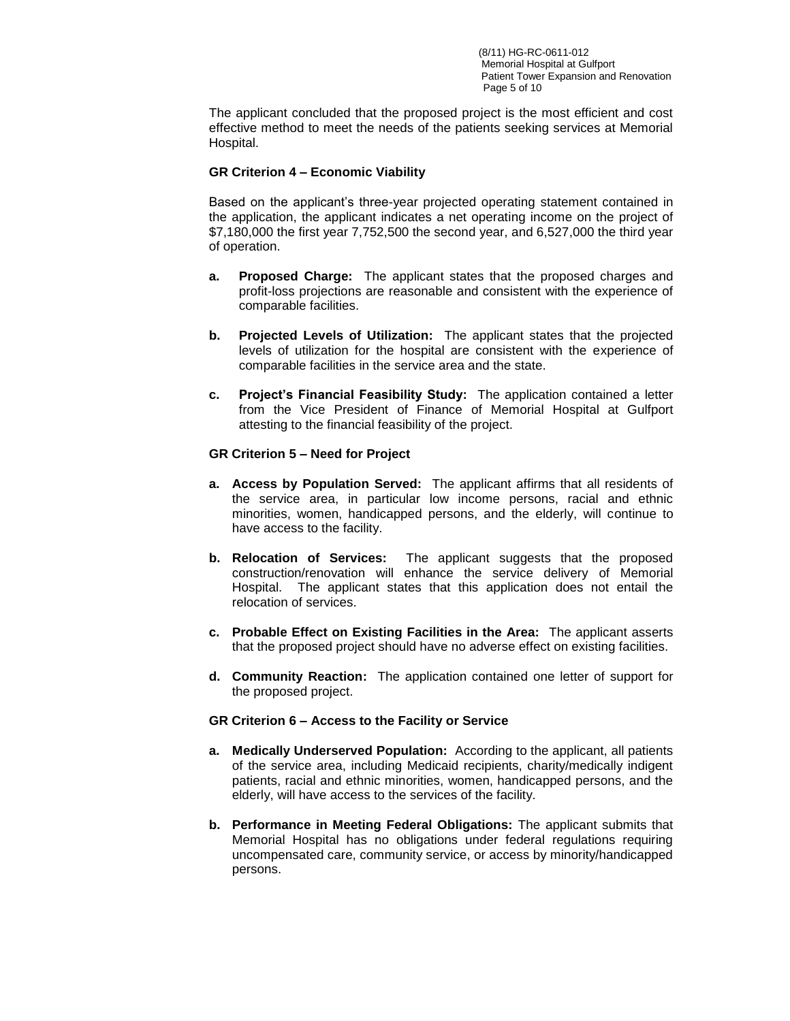The applicant concluded that the proposed project is the most efficient and cost effective method to meet the needs of the patients seeking services at Memorial Hospital.

## **GR Criterion 4 – Economic Viability**

Based on the applicant's three-year projected operating statement contained in the application, the applicant indicates a net operating income on the project of \$7,180,000 the first year 7,752,500 the second year, and 6,527,000 the third year of operation.

- **a. Proposed Charge:** The applicant states that the proposed charges and profit-loss projections are reasonable and consistent with the experience of comparable facilities.
- **b. Projected Levels of Utilization:** The applicant states that the projected levels of utilization for the hospital are consistent with the experience of comparable facilities in the service area and the state.
- **c. Project's Financial Feasibility Study:** The application contained a letter from the Vice President of Finance of Memorial Hospital at Gulfport attesting to the financial feasibility of the project.

# **GR Criterion 5 – Need for Project**

- **a. Access by Population Served:** The applicant affirms that all residents of the service area, in particular low income persons, racial and ethnic minorities, women, handicapped persons, and the elderly, will continue to have access to the facility.
- **b. Relocation of Services:** The applicant suggests that the proposed construction/renovation will enhance the service delivery of Memorial Hospital. The applicant states that this application does not entail the relocation of services.
- **c. Probable Effect on Existing Facilities in the Area:** The applicant asserts that the proposed project should have no adverse effect on existing facilities.
- **d. Community Reaction:** The application contained one letter of support for the proposed project.

## **GR Criterion 6 – Access to the Facility or Service**

- **a. Medically Underserved Population:** According to the applicant, all patients of the service area, including Medicaid recipients, charity/medically indigent patients, racial and ethnic minorities, women, handicapped persons, and the elderly, will have access to the services of the facility.
- **b. Performance in Meeting Federal Obligations:** The applicant submits that Memorial Hospital has no obligations under federal regulations requiring uncompensated care, community service, or access by minority/handicapped persons.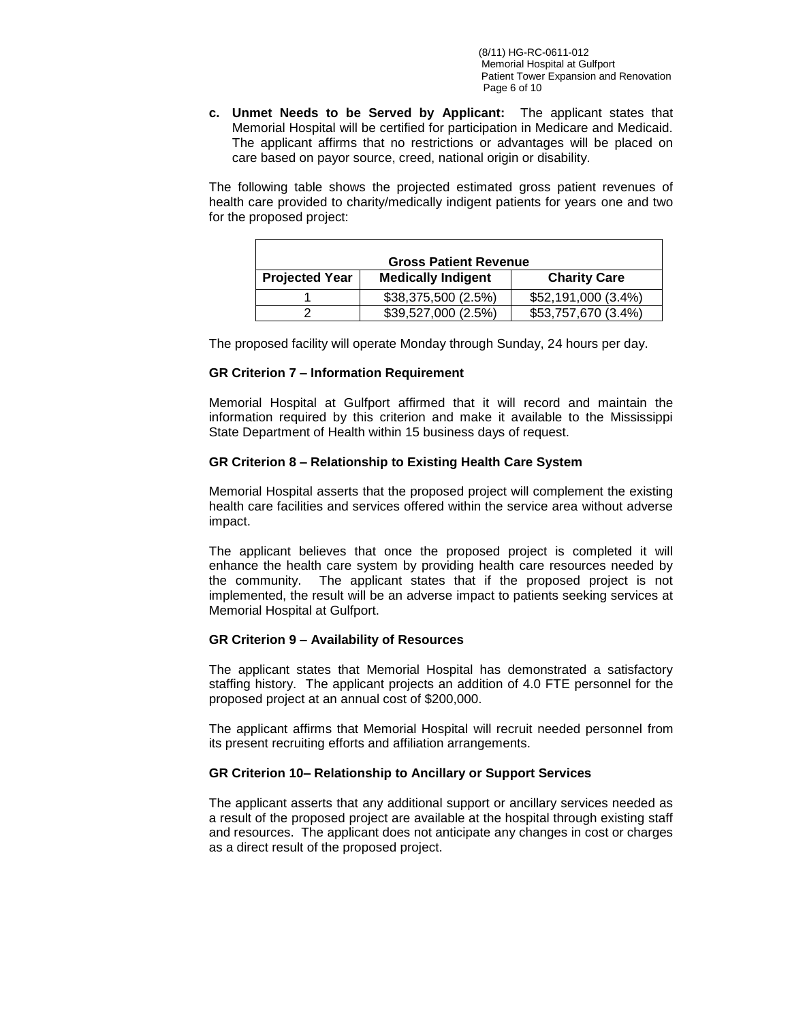**c. Unmet Needs to be Served by Applicant:** The applicant states that Memorial Hospital will be certified for participation in Medicare and Medicaid. The applicant affirms that no restrictions or advantages will be placed on care based on payor source, creed, national origin or disability.

The following table shows the projected estimated gross patient revenues of health care provided to charity/medically indigent patients for years one and two for the proposed project:

| <b>Gross Patient Revenue</b> |                     |                     |  |  |
|------------------------------|---------------------|---------------------|--|--|
| <b>Projected Year</b>        | <b>Charity Care</b> |                     |  |  |
|                              | \$38,375,500 (2.5%) | \$52,191,000 (3.4%) |  |  |
|                              | \$39,527,000 (2.5%) | \$53,757,670 (3.4%) |  |  |

The proposed facility will operate Monday through Sunday, 24 hours per day.

## **GR Criterion 7 – Information Requirement**

Ē

Memorial Hospital at Gulfport affirmed that it will record and maintain the information required by this criterion and make it available to the Mississippi State Department of Health within 15 business days of request.

# **GR Criterion 8 – Relationship to Existing Health Care System**

Memorial Hospital asserts that the proposed project will complement the existing health care facilities and services offered within the service area without adverse impact.

The applicant believes that once the proposed project is completed it will enhance the health care system by providing health care resources needed by the community. The applicant states that if the proposed project is not implemented, the result will be an adverse impact to patients seeking services at Memorial Hospital at Gulfport.

## **GR Criterion 9 – Availability of Resources**

The applicant states that Memorial Hospital has demonstrated a satisfactory staffing history. The applicant projects an addition of 4.0 FTE personnel for the proposed project at an annual cost of \$200,000.

The applicant affirms that Memorial Hospital will recruit needed personnel from its present recruiting efforts and affiliation arrangements.

## **GR Criterion 10– Relationship to Ancillary or Support Services**

The applicant asserts that any additional support or ancillary services needed as a result of the proposed project are available at the hospital through existing staff and resources. The applicant does not anticipate any changes in cost or charges as a direct result of the proposed project.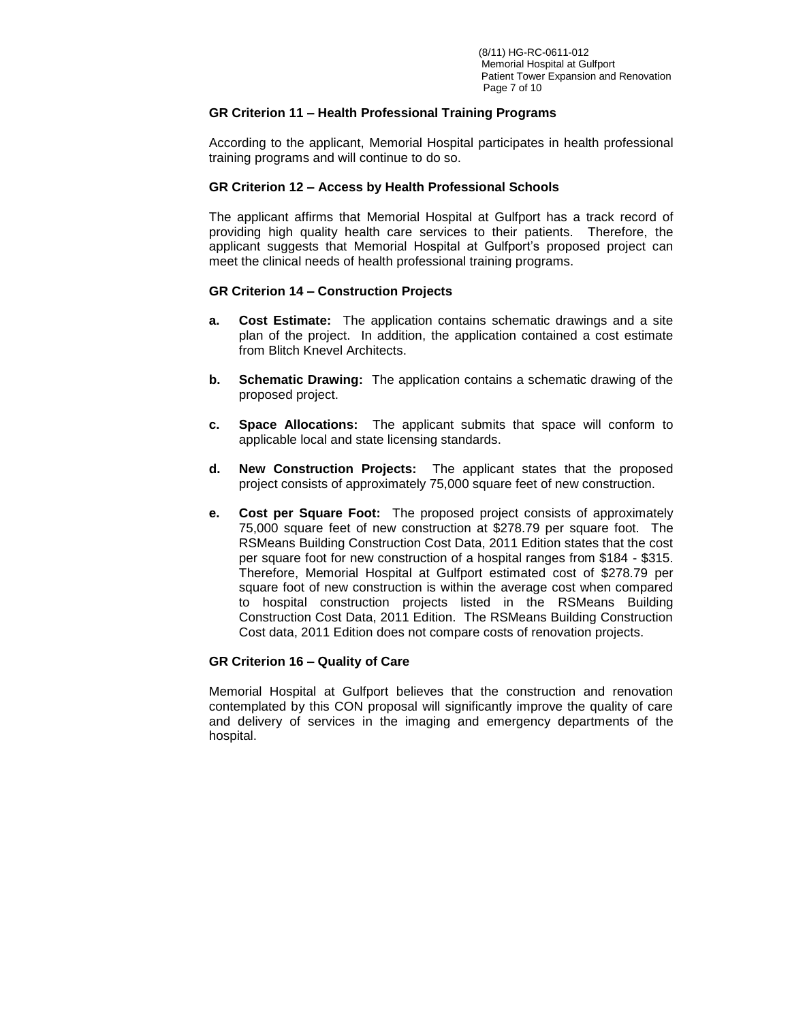## **GR Criterion 11 – Health Professional Training Programs**

According to the applicant, Memorial Hospital participates in health professional training programs and will continue to do so.

## **GR Criterion 12 – Access by Health Professional Schools**

The applicant affirms that Memorial Hospital at Gulfport has a track record of providing high quality health care services to their patients. Therefore, the applicant suggests that Memorial Hospital at Gulfport's proposed project can meet the clinical needs of health professional training programs.

# **GR Criterion 14 – Construction Projects**

- **a. Cost Estimate:** The application contains schematic drawings and a site plan of the project. In addition, the application contained a cost estimate from Blitch Knevel Architects.
- **b. Schematic Drawing:** The application contains a schematic drawing of the proposed project.
- **c. Space Allocations:** The applicant submits that space will conform to applicable local and state licensing standards.
- **d. New Construction Projects:** The applicant states that the proposed project consists of approximately 75,000 square feet of new construction.
- **e. Cost per Square Foot:** The proposed project consists of approximately 75,000 square feet of new construction at \$278.79 per square foot. The RSMeans Building Construction Cost Data, 2011 Edition states that the cost per square foot for new construction of a hospital ranges from \$184 - \$315. Therefore, Memorial Hospital at Gulfport estimated cost of \$278.79 per square foot of new construction is within the average cost when compared to hospital construction projects listed in the RSMeans Building Construction Cost Data, 2011 Edition. The RSMeans Building Construction Cost data, 2011 Edition does not compare costs of renovation projects.

## **GR Criterion 16 – Quality of Care**

Memorial Hospital at Gulfport believes that the construction and renovation contemplated by this CON proposal will significantly improve the quality of care and delivery of services in the imaging and emergency departments of the hospital.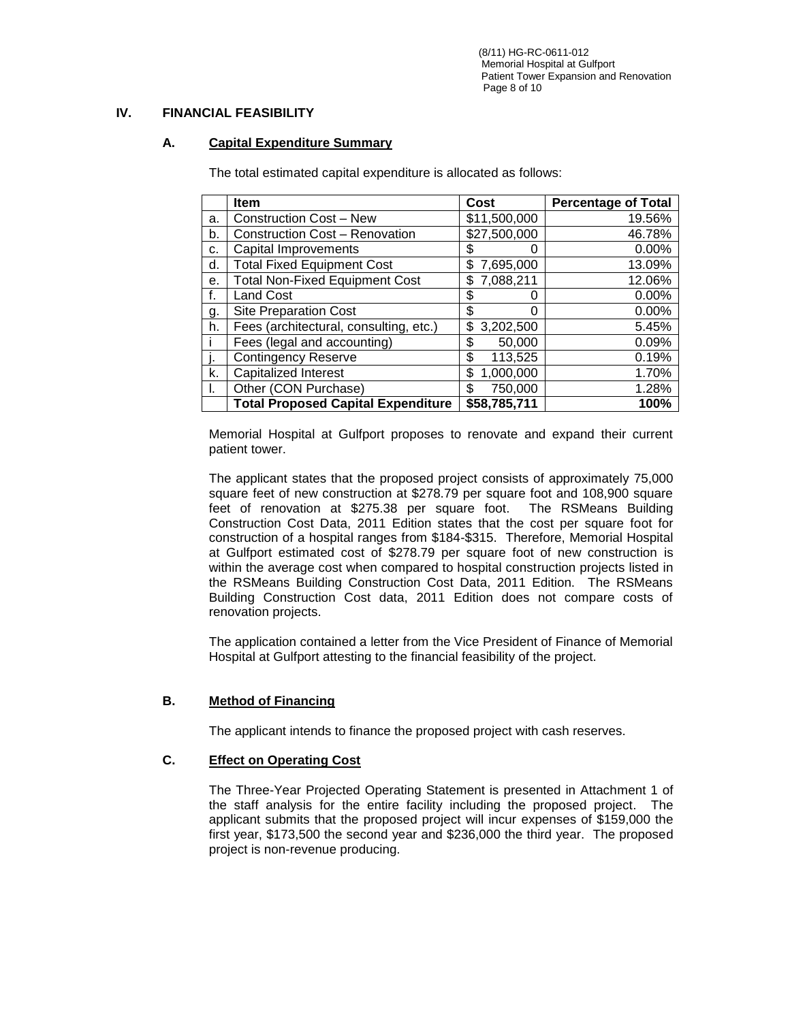(8/11) HG-RC-0611-012 Memorial Hospital at Gulfport Patient Tower Expansion and Renovation Page 8 of 10

# **IV. FINANCIAL FEASIBILITY**

## **A. Capital Expenditure Summary**

The total estimated capital expenditure is allocated as follows:

|    | Item                                      | <b>Cost</b>      | <b>Percentage of Total</b> |
|----|-------------------------------------------|------------------|----------------------------|
| a. | <b>Construction Cost - New</b>            | \$11,500,000     | 19.56%                     |
| b. | <b>Construction Cost - Renovation</b>     | \$27,500,000     | 46.78%                     |
| c. | Capital Improvements                      | \$<br>0          | 0.00%                      |
| d. | <b>Total Fixed Equipment Cost</b>         | 7,695,000<br>S   | 13.09%                     |
| е. | <b>Total Non-Fixed Equipment Cost</b>     | 7,088,211<br>\$. | 12.06%                     |
|    | <b>Land Cost</b>                          | \$<br>0          | 0.00%                      |
| g. | <b>Site Preparation Cost</b>              | \$<br>0          | 0.00%                      |
| h. | Fees (architectural, consulting, etc.)    | 3,202,500<br>\$  | 5.45%                      |
|    | Fees (legal and accounting)               | 50,000<br>\$     | 0.09%                      |
|    | <b>Contingency Reserve</b>                | \$<br>113,525    | 0.19%                      |
| k. | <b>Capitalized Interest</b>               | 1,000,000<br>\$  | 1.70%                      |
| Ъ. | Other (CON Purchase)                      | 750,000<br>\$    | 1.28%                      |
|    | <b>Total Proposed Capital Expenditure</b> | \$58,785,711     | 100%                       |

Memorial Hospital at Gulfport proposes to renovate and expand their current patient tower.

The applicant states that the proposed project consists of approximately 75,000 square feet of new construction at \$278.79 per square foot and 108,900 square feet of renovation at \$275.38 per square foot. The RSMeans Building Construction Cost Data, 2011 Edition states that the cost per square foot for construction of a hospital ranges from \$184-\$315. Therefore, Memorial Hospital at Gulfport estimated cost of \$278.79 per square foot of new construction is within the average cost when compared to hospital construction projects listed in the RSMeans Building Construction Cost Data, 2011 Edition. The RSMeans Building Construction Cost data, 2011 Edition does not compare costs of renovation projects.

The application contained a letter from the Vice President of Finance of Memorial Hospital at Gulfport attesting to the financial feasibility of the project.

## **B. Method of Financing**

The applicant intends to finance the proposed project with cash reserves.

## **C. Effect on Operating Cost**

The Three-Year Projected Operating Statement is presented in Attachment 1 of the staff analysis for the entire facility including the proposed project. The applicant submits that the proposed project will incur expenses of \$159,000 the first year, \$173,500 the second year and \$236,000 the third year. The proposed project is non-revenue producing.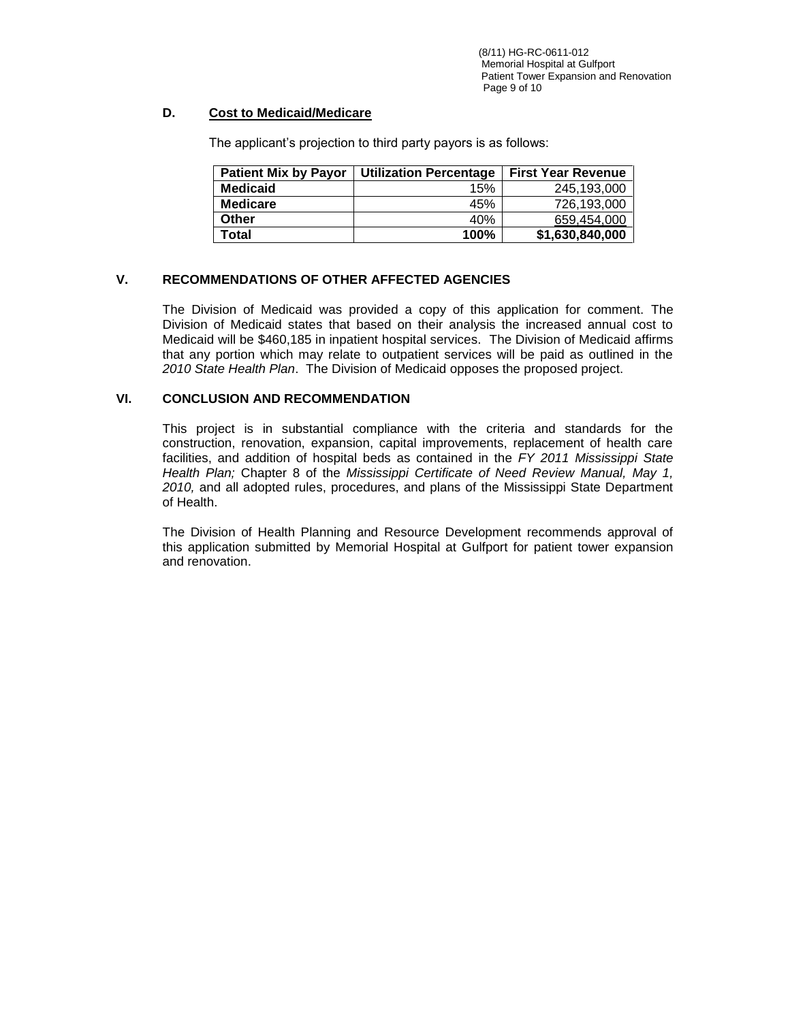# **D. Cost to Medicaid/Medicare**

| <b>Patient Mix by Payor</b> | <b>Utilization Percentage</b> | <b>First Year Revenue</b> |  |  |
|-----------------------------|-------------------------------|---------------------------|--|--|
| <b>Medicaid</b>             | 15%                           | 245.193.000               |  |  |
| <b>Medicare</b>             | 45%                           | 726.193.000               |  |  |
| Other                       | 40%                           | 659,454,000               |  |  |
| Total                       | 100%                          | \$1,630,840,000           |  |  |

The applicant's projection to third party payors is as follows:

# **V. RECOMMENDATIONS OF OTHER AFFECTED AGENCIES**

The Division of Medicaid was provided a copy of this application for comment. The Division of Medicaid states that based on their analysis the increased annual cost to Medicaid will be \$460,185 in inpatient hospital services. The Division of Medicaid affirms that any portion which may relate to outpatient services will be paid as outlined in the *2010 State Health Plan*. The Division of Medicaid opposes the proposed project.

# **VI. CONCLUSION AND RECOMMENDATION**

This project is in substantial compliance with the criteria and standards for the construction, renovation, expansion, capital improvements, replacement of health care facilities, and addition of hospital beds as contained in the *FY 2011 Mississippi State Health Plan;* Chapter 8 of the *Mississippi Certificate of Need Review Manual, May 1, 2010,* and all adopted rules, procedures, and plans of the Mississippi State Department of Health.

The Division of Health Planning and Resource Development recommends approval of this application submitted by Memorial Hospital at Gulfport for patient tower expansion and renovation.